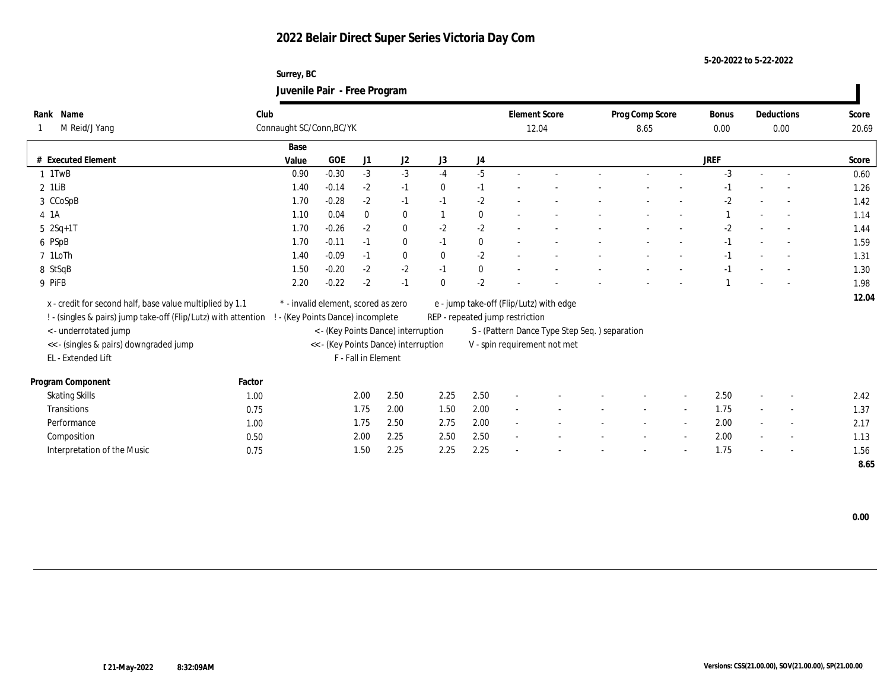## **2022 Belair Direct Super Series Victoria Day Com**

**Surrey, BC Juvenile Pair - Free Program**

| Rank Name                                                      | Club   |                                                                             |                                     |              |                |              |          | <b>Element Score</b>            |                                               |  | Prog Comp Score | <b>Bonus</b> |        | Deductions               | Score |
|----------------------------------------------------------------|--------|-----------------------------------------------------------------------------|-------------------------------------|--------------|----------------|--------------|----------|---------------------------------|-----------------------------------------------|--|-----------------|--------------|--------|--------------------------|-------|
| M Reid/J Yang                                                  |        | Connaught SC/Conn, BC/YK                                                    |                                     |              |                |              |          |                                 | 12.04                                         |  |                 | 0.00         | 0.00   |                          | 20.69 |
|                                                                |        | Base                                                                        |                                     |              |                |              |          |                                 |                                               |  |                 |              |        |                          |       |
| # Executed Element                                             |        | Value                                                                       | GOE                                 | J1           | J <sub>2</sub> | J3           | J4       |                                 |                                               |  |                 | <b>JREF</b>  |        |                          | Score |
| $1$ 1TwB                                                       |        | 0.90                                                                        | $-0.30$                             | $-3$         | $-3$           | $-4$         | $-5$     |                                 |                                               |  |                 | $-3$         |        |                          | 0.60  |
| $2$ 1LiB                                                       |        | 1.40                                                                        | $-0.14$                             | $-2$         | $-1$           | $\mathbf{0}$ | $-1$     |                                 |                                               |  |                 | $-1$         |        |                          | 1.26  |
| 3 CCoSpB                                                       |        | 1.70                                                                        | $-0.28$                             | $-2$         | $-1$           | $-1$         | $-2$     |                                 |                                               |  |                 | $-2$         |        | $\overline{\phantom{a}}$ | 1.42  |
| 4 1 A                                                          |        | 1.10                                                                        | 0.04                                | $\mathbf{0}$ | $\bf{0}$       |              | $\bf{0}$ |                                 |                                               |  |                 |              |        | $\overline{\phantom{a}}$ | 1.14  |
| $5 \ 2Sq + 1T$                                                 |        | 1.70                                                                        | $-0.26$                             | $-2$         | $\bf{0}$       | $-2$         | $-2$     |                                 |                                               |  |                 | $-2$         |        | $\sim$                   | 1.44  |
| 6 PSpB                                                         |        | 1.70                                                                        | $-0.11$                             | $-1$         | $\bf{0}$       | $-1$         | $\bf{0}$ | $\sim$                          |                                               |  |                 | $-1$         |        |                          | 1.59  |
| 7 1LoTh                                                        |        | 1.40                                                                        | $-0.09$                             | $-1$         | $\bf{0}$       | $\mathbf{0}$ | $-2$     |                                 |                                               |  |                 | $-1$         |        |                          | 1.31  |
| 8 StSqB                                                        |        | 1.50                                                                        | $-0.20$                             | $-2$         | $-2$           | $-1$         | $\bf{0}$ |                                 |                                               |  |                 | $-1$         |        |                          | 1.30  |
| 9 PiFB                                                         |        | 2.20                                                                        | $-0.22$                             | $-2$         | $-1$           | $\mathbf{0}$ | $-2$     |                                 |                                               |  |                 |              |        |                          | 1.98  |
| x - credit for second half, base value multiplied by 1.1       |        |                                                                             | * - invalid element, scored as zero |              |                |              |          |                                 | e - jump take-off (Flip/Lutz) with edge       |  |                 |              |        |                          | 12.04 |
| ! - (singles & pairs) jump take-off (Flip/Lutz) with attention |        | ! - (Key Points Dance) incomplete                                           |                                     |              |                |              |          | REP - repeated jump restriction |                                               |  |                 |              |        |                          |       |
| < - underrotated jump                                          |        |                                                                             |                                     |              |                |              |          |                                 | S - (Pattern Dance Type Step Seq.) separation |  |                 |              |        |                          |       |
| << - (singles & pairs) downgraded jump                         |        | < - (Key Points Dance) interruption<br><< - (Key Points Dance) interruption |                                     |              |                |              |          |                                 | V - spin requirement not met                  |  |                 |              |        |                          |       |
| EL - Extended Lift                                             |        | F - Fall in Element                                                         |                                     |              |                |              |          |                                 |                                               |  |                 |              |        |                          |       |
|                                                                |        |                                                                             |                                     |              |                |              |          |                                 |                                               |  |                 |              |        |                          |       |
| Program Component                                              | Factor |                                                                             |                                     |              |                |              |          |                                 |                                               |  |                 |              |        |                          |       |
| <b>Skating Skills</b>                                          | 1.00   |                                                                             |                                     | 2.00         | 2.50           | 2.25         | 2.50     |                                 |                                               |  |                 | 2.50         |        | $\sim$                   | 2.42  |
| Transitions                                                    | 0.75   |                                                                             |                                     | 1.75         | 2.00           | 1.50         | 2.00     |                                 |                                               |  |                 | 1.75         |        | $\overline{\phantom{a}}$ | 1.37  |
| Performance                                                    | 1.00   |                                                                             |                                     | 1.75         | 2.50           | 2.75         | 2.00     |                                 |                                               |  |                 | 2.00         |        | $\sim$                   | 2.17  |
| Composition                                                    | 0.50   |                                                                             |                                     | 2.00         | 2.25           | 2.50         | 2.50     | $\sim$                          |                                               |  |                 | 2.00         | $\sim$ | $\overline{\phantom{a}}$ | 1.13  |
| Interpretation of the Music                                    | 0.75   |                                                                             |                                     | 1.50         | 2.25           | 2.25         | 2.25     |                                 |                                               |  |                 | 1.75         |        |                          | 1.56  |
|                                                                |        |                                                                             |                                     |              |                |              |          |                                 |                                               |  |                 |              |        |                          | 8.65  |

**5-20-2022 to 5-22-2022**